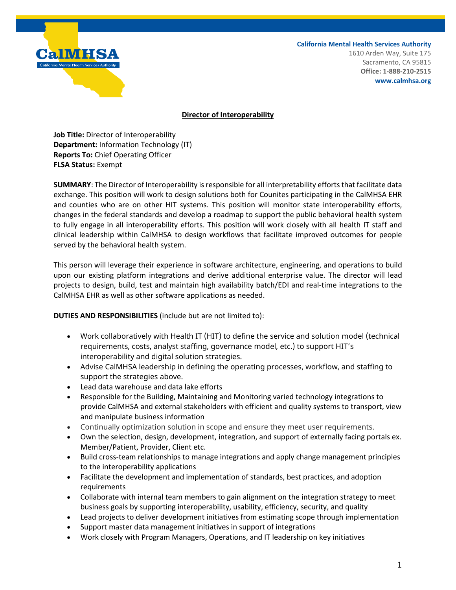

**California Mental Health Services Authority**

1610 Arden Way, Suite 175 Sacramento, CA 95815 **Office: 1-888-210-2515 www.calmhsa.org**

## **Director of Interoperability**

**Job Title:** Director of Interoperability **Department:** Information Technology (IT) **Reports To:** Chief Operating Officer **FLSA Status:** Exempt

**SUMMARY**: The Director of Interoperability is responsible for all interpretability efforts that facilitate data exchange. This position will work to design solutions both for Counites participating in the CalMHSA EHR and counties who are on other HIT systems. This position will monitor state interoperability efforts, changes in the federal standards and develop a roadmap to support the public behavioral health system to fully engage in all interoperability efforts. This position will work closely with all health IT staff and clinical leadership within CalMHSA to design workflows that facilitate improved outcomes for people served by the behavioral health system.

This person will leverage their experience in software architecture, engineering, and operations to build upon our existing platform integrations and derive additional enterprise value. The director will lead projects to design, build, test and maintain high availability batch/EDI and real-time integrations to the CalMHSA EHR as well as other software applications as needed.

**DUTIES AND RESPONSIBILITIES** (include but are not limited to):

- Work collaboratively with Health IT (HIT) to define the service and solution model (technical requirements, costs, analyst staffing, governance model, etc.) to support HIT's interoperability and digital solution strategies.
- Advise CalMHSA leadership in defining the operating processes, workflow, and staffing to support the strategies above.
- Lead data warehouse and data lake efforts
- Responsible for the Building, Maintaining and Monitoring varied technology integrations to provide CalMHSA and external stakeholders with efficient and quality systems to transport, view and manipulate business information
- Continually optimization solution in scope and ensure they meet user requirements.
- Own the selection, design, development, integration, and support of externally facing portals ex. Member/Patient, Provider, Client etc.
- Build cross-team relationships to manage integrations and apply change management principles to the interoperability applications
- Facilitate the development and implementation of standards, best practices, and adoption requirements
- Collaborate with internal team members to gain alignment on the integration strategy to meet business goals by supporting interoperability, usability, efficiency, security, and quality
- Lead projects to deliver development initiatives from estimating scope through implementation
- Support master data management initiatives in support of integrations
- Work closely with Program Managers, Operations, and IT leadership on key initiatives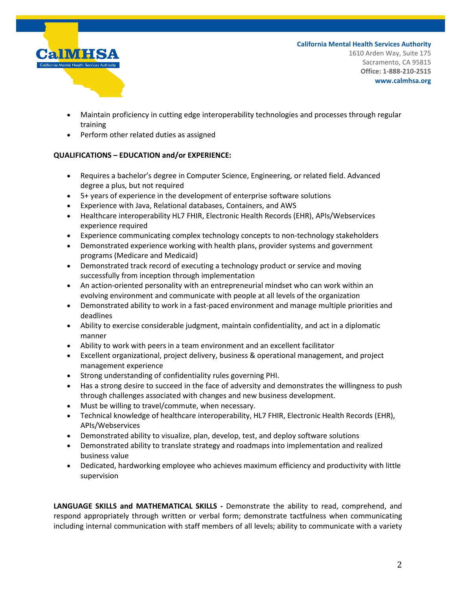

**California Mental Health Services Authority** 1610 Arden Way, Suite 175 Sacramento, CA 95815 **Office: 1-888-210-2515**

**www.calmhsa.org**

- Maintain proficiency in cutting edge interoperability technologies and processes through regular training
- Perform other related duties as assigned

## **QUALIFICATIONS – EDUCATION and/or EXPERIENCE:**

- Requires a bachelor's degree in Computer Science, Engineering, or related field. Advanced degree a plus, but not required
- 5+ years of experience in the development of enterprise software solutions
- Experience with Java, Relational databases, Containers, and AWS
- Healthcare interoperability HL7 FHIR, Electronic Health Records (EHR), APIs/Webservices experience required
- Experience communicating complex technology concepts to non-technology stakeholders
- Demonstrated experience working with health plans, provider systems and government programs (Medicare and Medicaid)
- Demonstrated track record of executing a technology product or service and moving successfully from inception through implementation
- An action-oriented personality with an entrepreneurial mindset who can work within an evolving environment and communicate with people at all levels of the organization
- Demonstrated ability to work in a fast-paced environment and manage multiple priorities and deadlines
- Ability to exercise considerable judgment, maintain confidentiality, and act in a diplomatic manner
- Ability to work with peers in a team environment and an excellent facilitator
- Excellent organizational, project delivery, business & operational management, and project management experience
- Strong understanding of confidentiality rules governing PHI.
- Has a strong desire to succeed in the face of adversity and demonstrates the willingness to push through challenges associated with changes and new business development.
- Must be willing to travel/commute, when necessary.
- Technical knowledge of healthcare interoperability, HL7 FHIR, Electronic Health Records (EHR), APIs/Webservices
- Demonstrated ability to visualize, plan, develop, test, and deploy software solutions
- Demonstrated ability to translate strategy and roadmaps into implementation and realized business value
- Dedicated, hardworking employee who achieves maximum efficiency and productivity with little supervision

**LANGUAGE SKILLS and MATHEMATICAL SKILLS -** Demonstrate the ability to read, comprehend, and respond appropriately through written or verbal form; demonstrate tactfulness when communicating including internal communication with staff members of all levels; ability to communicate with a variety